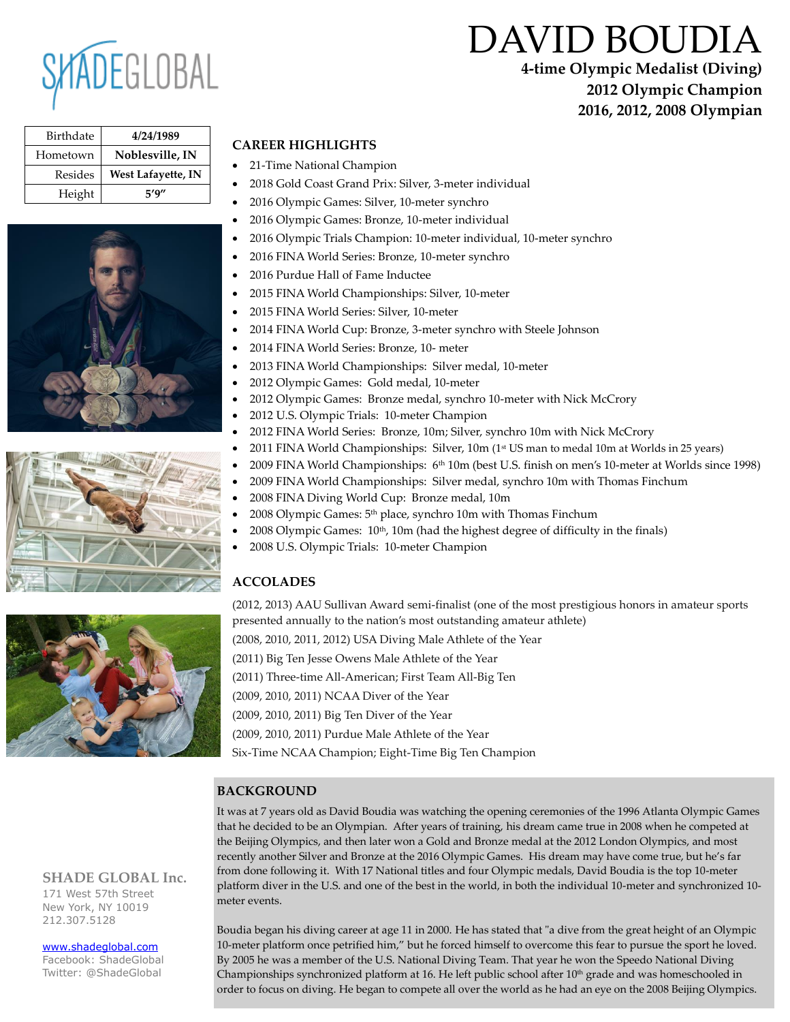

# DAVID BOUDIA

**4-time Olympic Medalist (Diving) 2012 Olympic Champion 2016, 2012, 2008 Olympian**

| Birthdate | 4/24/1989                 |
|-----------|---------------------------|
| Hometown  | Noblesville, IN           |
| Resides   | <b>West Lafayette, IN</b> |
| Height    | 5′9″                      |







## **SHADE GLOBAL Inc.**

171 West 57th Street New York, NY 10019 212.307.5128

#### [www.shadeglobal.com](http://www.shadeglobal.com/)

Facebook: ShadeGlobal Twitter: @ShadeGlobal

# **CAREER HIGHLIGHTS**

- 21-Time National Champion
- 2018 Gold Coast Grand Prix: Silver, 3-meter individual
- 2016 Olympic Games: Silver, 10-meter synchro
- 2016 Olympic Games: Bronze, 10-meter individual
- 2016 Olympic Trials Champion: 10-meter individual, 10-meter synchro
- 2016 FINA World Series: Bronze, 10-meter synchro
- 2016 Purdue Hall of Fame Inductee
- 2015 FINA World Championships: Silver, 10-meter
- 2015 FINA World Series: Silver, 10-meter
- 2014 FINA World Cup: Bronze, 3-meter synchro with Steele Johnson
- 2014 FINA World Series: Bronze, 10- meter
- 2013 FINA World Championships: Silver medal, 10-meter
- 2012 Olympic Games: Gold medal, 10-meter
- 2012 Olympic Games: Bronze medal, synchro 10-meter with Nick McCrory
- 2012 U.S. Olympic Trials: 10-meter Champion
- 2012 FINA World Series: Bronze, 10m; Silver, synchro 10m with Nick McCrory
- 2011 FINA World Championships: Silver,  $10m$  (1st US man to medal 10m at Worlds in 25 years)
- 2009 FINA World Championships: 6<sup>th</sup> 10m (best U.S. finish on men's 10-meter at Worlds since 1998)
- 2009 FINA World Championships: Silver medal, synchro 10m with Thomas Finchum
- 2008 FINA Diving World Cup: Bronze medal, 10m
- 2008 Olympic Games: 5th place, synchro 10m with Thomas Finchum
- $2008$  Olympic Games:  $10<sup>th</sup>$ ,  $10<sup>th</sup>$ ,  $10<sup>th</sup>$  (had the highest degree of difficulty in the finals)
- 2008 U.S. Olympic Trials: 10-meter Champion

# **ACCOLADES**

(2012, 2013) AAU Sullivan Award semi-finalist (one of the most prestigious honors in amateur sports presented annually to the nation's most outstanding amateur athlete)

(2008, 2010, 2011, 2012) USA Diving Male Athlete of the Year

(2011) Big Ten Jesse Owens Male Athlete of the Year

(2011) Three-time All-American; First Team All-Big Ten

(2009, 2010, 2011) NCAA Diver of the Year

(2009, 2010, 2011) Big Ten Diver of the Year

(2009, 2010, 2011) Purdue Male Athlete of the Year

Six-Time NCAA Champion; Eight-Time Big Ten Champion

# **BACKGROUND**

It was at 7 years old as David Boudia was watching the opening ceremonies of the 1996 Atlanta Olympic Games that he decided to be an Olympian. After years of training, his dream came true in 2008 when he competed at the Beijing Olympics, and then later won a Gold and Bronze medal at the 2012 London Olympics, and most recently another Silver and Bronze at the 2016 Olympic Games. His dream may have come true, but he's far from done following it. With 17 National titles and four Olympic medals, David Boudia is the top 10-meter platform diver in the U.S. and one of the best in the world, in both the individual 10-meter and synchronized 10 meter events.

Boudia began his diving career at age 11 in 2000. He has stated that "a dive from the great height of an Olympic 10-meter platform once petrified him," but he forced himself to overcome this fear to pursue the sport he loved. By 2005 he was a member of the U.S. National Diving Team. That year he won the Speedo National Diving Championships synchronized platform at 16. He left public school after 10 th grade and was homeschooled in order to focus on diving. He began to compete all over the world as he had an eye on the 2008 Beijing Olympics.